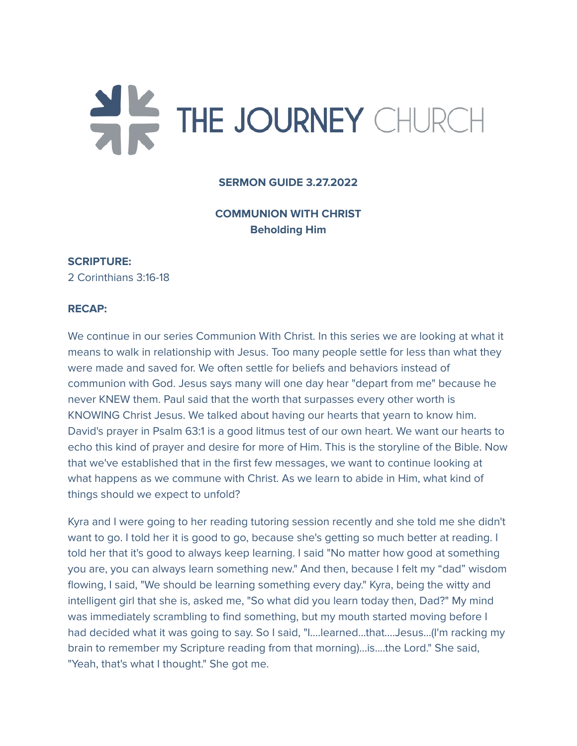# THE JOURNEY CHURCH

### **SERMON GUIDE 3.27.2022**

# **COMMUNION WITH CHRIST Beholding Him**

### **SCRIPTURE:**

2 Corinthians 3:16-18

### **RECAP:**

We continue in our series Communion With Christ. In this series we are looking at what it means to walk in relationship with Jesus. Too many people settle for less than what they were made and saved for. We often settle for beliefs and behaviors instead of communion with God. Jesus says many will one day hear "depart from me" because he never KNEW them. Paul said that the worth that surpasses every other worth is KNOWING Christ Jesus. We talked about having our hearts that yearn to know him. David's prayer in Psalm 63:1 is a good litmus test of our own heart. We want our hearts to echo this kind of prayer and desire for more of Him. This is the storyline of the Bible. Now that we've established that in the first few messages, we want to continue looking at what happens as we commune with Christ. As we learn to abide in Him, what kind of things should we expect to unfold?

Kyra and I were going to her reading tutoring session recently and she told me she didn't want to go. I told her it is good to go, because she's getting so much better at reading. I told her that it's good to always keep learning. I said "No matter how good at something you are, you can always learn something new." And then, because I felt my "dad" wisdom flowing, I said, "We should be learning something every day." Kyra, being the witty and intelligent girl that she is, asked me, "So what did you learn today then, Dad?" My mind was immediately scrambling to find something, but my mouth started moving before I had decided what it was going to say. So I said, "I....learned...that....Jesus...(I'm racking my brain to remember my Scripture reading from that morning)...is....the Lord." She said, "Yeah, that's what I thought." She got me.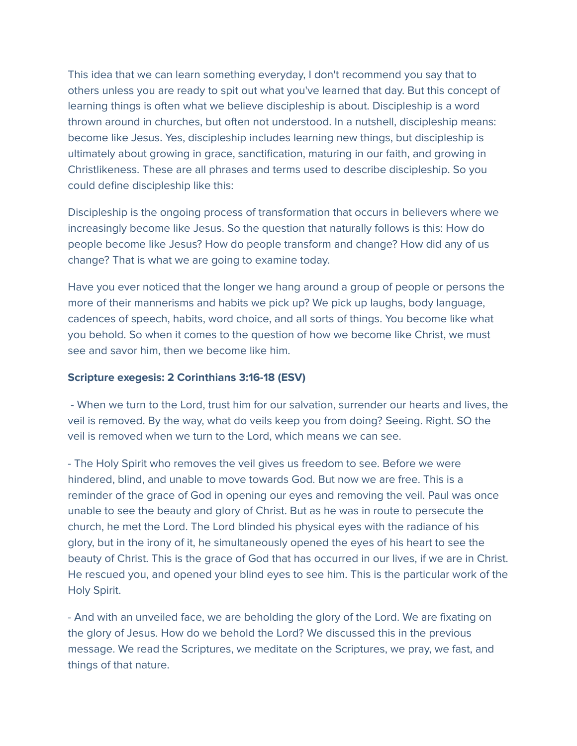This idea that we can learn something everyday, I don't recommend you say that to others unless you are ready to spit out what you've learned that day. But this concept of learning things is often what we believe discipleship is about. Discipleship is a word thrown around in churches, but often not understood. In a nutshell, discipleship means: become like Jesus. Yes, discipleship includes learning new things, but discipleship is ultimately about growing in grace, sanctification, maturing in our faith, and growing in Christlikeness. These are all phrases and terms used to describe discipleship. So you could define discipleship like this:

Discipleship is the ongoing process of transformation that occurs in believers where we increasingly become like Jesus. So the question that naturally follows is this: How do people become like Jesus? How do people transform and change? How did any of us change? That is what we are going to examine today.

Have you ever noticed that the longer we hang around a group of people or persons the more of their mannerisms and habits we pick up? We pick up laughs, body language, cadences of speech, habits, word choice, and all sorts of things. You become like what you behold. So when it comes to the question of how we become like Christ, we must see and savor him, then we become like him.

### **Scripture exegesis: 2 Corinthians 3:16-18 (ESV)**

- When we turn to the Lord, trust him for our salvation, surrender our hearts and lives, the veil is removed. By the way, what do veils keep you from doing? Seeing. Right. SO the veil is removed when we turn to the Lord, which means we can see.

- The Holy Spirit who removes the veil gives us freedom to see. Before we were hindered, blind, and unable to move towards God. But now we are free. This is a reminder of the grace of God in opening our eyes and removing the veil. Paul was once unable to see the beauty and glory of Christ. But as he was in route to persecute the church, he met the Lord. The Lord blinded his physical eyes with the radiance of his glory, but in the irony of it, he simultaneously opened the eyes of his heart to see the beauty of Christ. This is the grace of God that has occurred in our lives, if we are in Christ. He rescued you, and opened your blind eyes to see him. This is the particular work of the Holy Spirit.

- And with an unveiled face, we are beholding the glory of the Lord. We are fixating on the glory of Jesus. How do we behold the Lord? We discussed this in the previous message. We read the Scriptures, we meditate on the Scriptures, we pray, we fast, and things of that nature.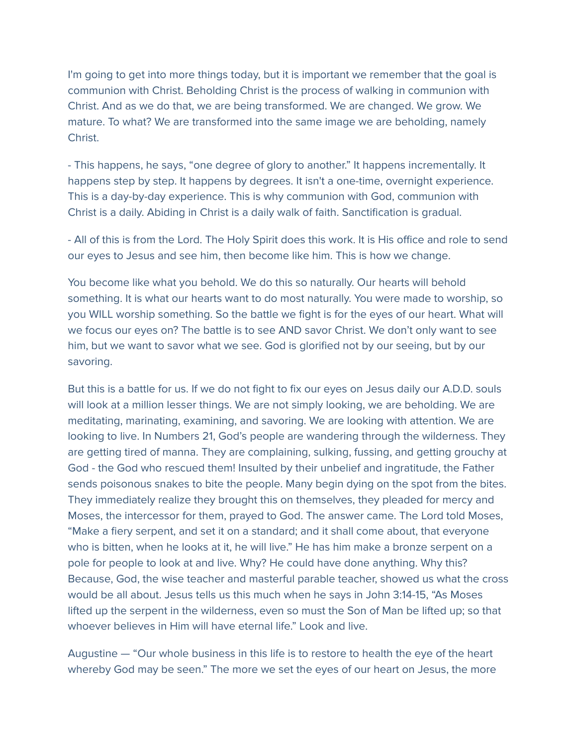I'm going to get into more things today, but it is important we remember that the goal is communion with Christ. Beholding Christ is the process of walking in communion with Christ. And as we do that, we are being transformed. We are changed. We grow. We mature. To what? We are transformed into the same image we are beholding, namely **Christ** 

- This happens, he says, "one degree of glory to another." It happens incrementally. It happens step by step. It happens by degrees. It isn't a one-time, overnight experience. This is a day-by-day experience. This is why communion with God, communion with Christ is a daily. Abiding in Christ is a daily walk of faith. Sanctification is gradual.

- All of this is from the Lord. The Holy Spirit does this work. It is His office and role to send our eyes to Jesus and see him, then become like him. This is how we change.

You become like what you behold. We do this so naturally. Our hearts will behold something. It is what our hearts want to do most naturally. You were made to worship, so you WILL worship something. So the battle we fight is for the eyes of our heart. What will we focus our eyes on? The battle is to see AND savor Christ. We don't only want to see him, but we want to savor what we see. God is glorified not by our seeing, but by our savoring.

But this is a battle for us. If we do not fight to fix our eyes on Jesus daily our A.D.D. souls will look at a million lesser things. We are not simply looking, we are beholding. We are meditating, marinating, examining, and savoring. We are looking with attention. We are looking to live. In Numbers 21, God's people are wandering through the wilderness. They are getting tired of manna. They are complaining, sulking, fussing, and getting grouchy at God - the God who rescued them! Insulted by their unbelief and ingratitude, the Father sends poisonous snakes to bite the people. Many begin dying on the spot from the bites. They immediately realize they brought this on themselves, they pleaded for mercy and Moses, the intercessor for them, prayed to God. The answer came. The Lord told Moses, "Make a fiery serpent, and set it on a standard; and it shall come about, that everyone who is bitten, when he looks at it, he will live." He has him make a bronze serpent on a pole for people to look at and live. Why? He could have done anything. Why this? Because, God, the wise teacher and masterful parable teacher, showed us what the cross would be all about. Jesus tells us this much when he says in John 3:14-15, "As Moses lifted up the serpent in the wilderness, even so must the Son of Man be lifted up; so that whoever believes in Him will have eternal life." Look and live.

Augustine — "Our whole business in this life is to restore to health the eye of the heart whereby God may be seen." The more we set the eyes of our heart on Jesus, the more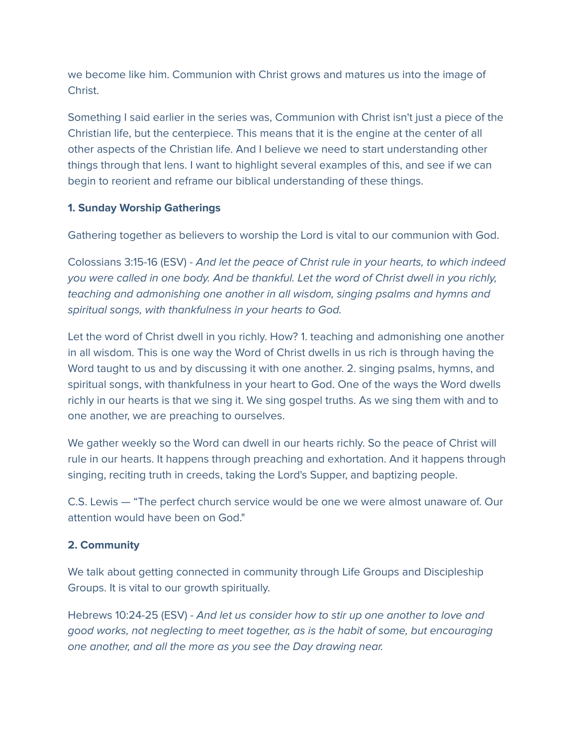we become like him. Communion with Christ grows and matures us into the image of Christ.

Something I said earlier in the series was, Communion with Christ isn't just a piece of the Christian life, but the centerpiece. This means that it is the engine at the center of all other aspects of the Christian life. And I believe we need to start understanding other things through that lens. I want to highlight several examples of this, and see if we can begin to reorient and reframe our biblical understanding of these things.

# **1. Sunday Worship Gatherings**

Gathering together as believers to worship the Lord is vital to our communion with God.

Colossians 3:15-16 (ESV) - And let the peace of Christ rule in your hearts, to which indeed you were called in one body. And be thankful. Let the word of Christ dwell in you richly, teaching and admonishing one another in all wisdom, singing psalms and hymns and spiritual songs, with thankfulness in your hearts to God.

Let the word of Christ dwell in you richly. How? 1. teaching and admonishing one another in all wisdom. This is one way the Word of Christ dwells in us rich is through having the Word taught to us and by discussing it with one another. 2. singing psalms, hymns, and spiritual songs, with thankfulness in your heart to God. One of the ways the Word dwells richly in our hearts is that we sing it. We sing gospel truths. As we sing them with and to one another, we are preaching to ourselves.

We gather weekly so the Word can dwell in our hearts richly. So the peace of Christ will rule in our hearts. It happens through preaching and exhortation. And it happens through singing, reciting truth in creeds, taking the Lord's Supper, and baptizing people.

C.S. Lewis — "The perfect church service would be one we were almost unaware of. Our attention would have been on God."

# **2. Community**

We talk about getting connected in community through Life Groups and Discipleship Groups. It is vital to our growth spiritually.

Hebrews 10:24-25 (ESV) - And let us consider how to stir up one another to love and good works, not neglecting to meet together, as is the habit of some, but encouraging one another, and all the more as you see the Day drawing near.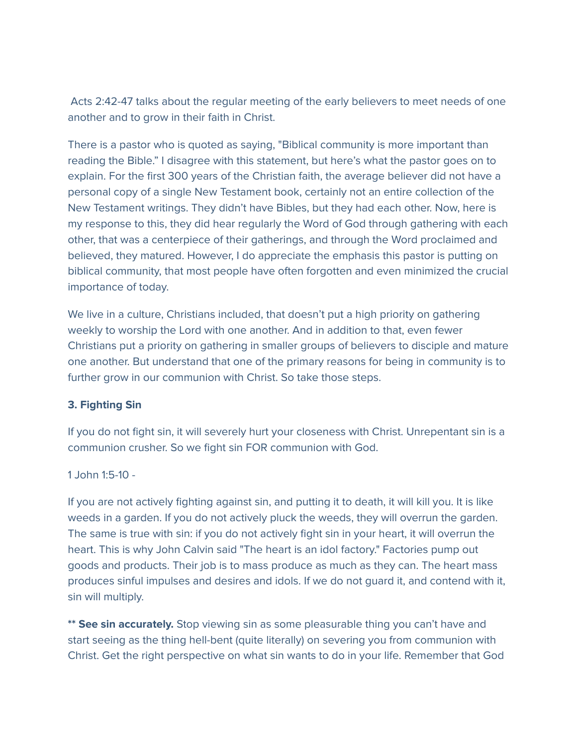Acts 2:42-47 talks about the regular meeting of the early believers to meet needs of one another and to grow in their faith in Christ.

There is a pastor who is quoted as saying, "Biblical community is more important than reading the Bible." I disagree with this statement, but here's what the pastor goes on to explain. For the first 300 years of the Christian faith, the average believer did not have a personal copy of a single New Testament book, certainly not an entire collection of the New Testament writings. They didn't have Bibles, but they had each other. Now, here is my response to this, they did hear regularly the Word of God through gathering with each other, that was a centerpiece of their gatherings, and through the Word proclaimed and believed, they matured. However, I do appreciate the emphasis this pastor is putting on biblical community, that most people have often forgotten and even minimized the crucial importance of today.

We live in a culture, Christians included, that doesn't put a high priority on gathering weekly to worship the Lord with one another. And in addition to that, even fewer Christians put a priority on gathering in smaller groups of believers to disciple and mature one another. But understand that one of the primary reasons for being in community is to further grow in our communion with Christ. So take those steps.

## **3. Fighting Sin**

If you do not fight sin, it will severely hurt your closeness with Christ. Unrepentant sin is a communion crusher. So we fight sin FOR communion with God.

1 John 1:5-10 -

If you are not actively fighting against sin, and putting it to death, it will kill you. It is like weeds in a garden. If you do not actively pluck the weeds, they will overrun the garden. The same is true with sin: if you do not actively fight sin in your heart, it will overrun the heart. This is why John Calvin said "The heart is an idol factory." Factories pump out goods and products. Their job is to mass produce as much as they can. The heart mass produces sinful impulses and desires and idols. If we do not guard it, and contend with it, sin will multiply.

**\*\* See sin accurately.** Stop viewing sin as some pleasurable thing you can't have and start seeing as the thing hell-bent (quite literally) on severing you from communion with Christ. Get the right perspective on what sin wants to do in your life. Remember that God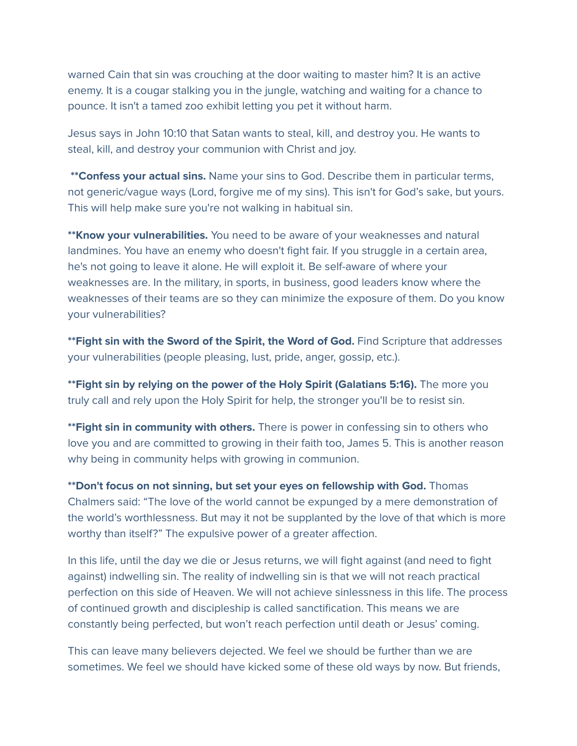warned Cain that sin was crouching at the door waiting to master him? It is an active enemy. It is a cougar stalking you in the jungle, watching and waiting for a chance to pounce. It isn't a tamed zoo exhibit letting you pet it without harm.

Jesus says in John 10:10 that Satan wants to steal, kill, and destroy you. He wants to steal, kill, and destroy your communion with Christ and joy.

**\*\*Confess your actual sins.** Name your sins to God. Describe them in particular terms, not generic/vague ways (Lord, forgive me of my sins). This isn't for God's sake, but yours. This will help make sure you're not walking in habitual sin.

**\*\*Know your vulnerabilities.** You need to be aware of your weaknesses and natural landmines. You have an enemy who doesn't fight fair. If you struggle in a certain area, he's not going to leave it alone. He will exploit it. Be self-aware of where your weaknesses are. In the military, in sports, in business, good leaders know where the weaknesses of their teams are so they can minimize the exposure of them. Do you know your vulnerabilities?

**\*\*Fight sin with the Sword of the Spirit, the Word of God.** Find Scripture that addresses your vulnerabilities (people pleasing, lust, pride, anger, gossip, etc.).

**\*\*Fight sin by relying on the power of the Holy Spirit (Galatians 5:16).** The more you truly call and rely upon the Holy Spirit for help, the stronger you'll be to resist sin.

**\*\*Fight sin in community with others.** There is power in confessing sin to others who love you and are committed to growing in their faith too, James 5. This is another reason why being in community helps with growing in communion.

**\*\*Don't focus on not sinning, but set your eyes on fellowship with God.** Thomas Chalmers said: "The love of the world cannot be expunged by a mere demonstration of the world's worthlessness. But may it not be supplanted by the love of that which is more worthy than itself?" The expulsive power of a greater affection.

In this life, until the day we die or Jesus returns, we will fight against (and need to fight against) indwelling sin. The reality of indwelling sin is that we will not reach practical perfection on this side of Heaven. We will not achieve sinlessness in this life. The process of continued growth and discipleship is called sanctification. This means we are constantly being perfected, but won't reach perfection until death or Jesus' coming.

This can leave many believers dejected. We feel we should be further than we are sometimes. We feel we should have kicked some of these old ways by now. But friends,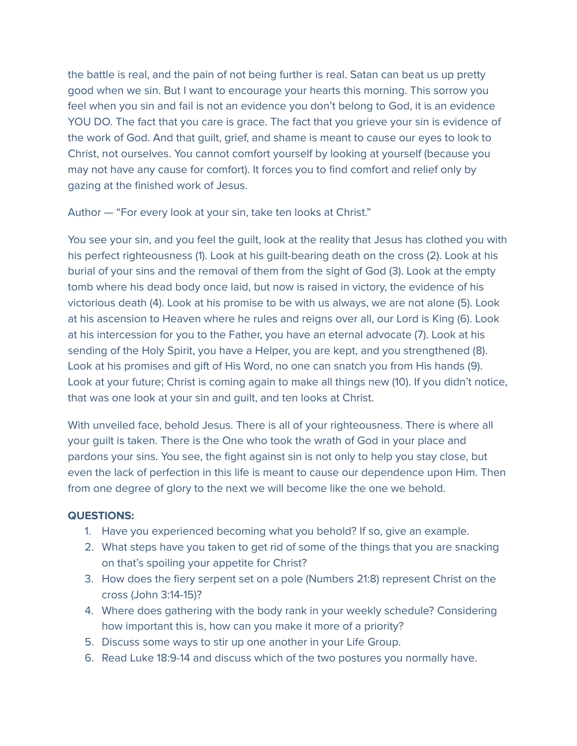the battle is real, and the pain of not being further is real. Satan can beat us up pretty good when we sin. But I want to encourage your hearts this morning. This sorrow you feel when you sin and fail is not an evidence you don't belong to God, it is an evidence YOU DO. The fact that you care is grace. The fact that you grieve your sin is evidence of the work of God. And that guilt, grief, and shame is meant to cause our eyes to look to Christ, not ourselves. You cannot comfort yourself by looking at yourself (because you may not have any cause for comfort). It forces you to find comfort and relief only by gazing at the finished work of Jesus.

Author — "For every look at your sin, take ten looks at Christ."

You see your sin, and you feel the guilt, look at the reality that Jesus has clothed you with his perfect righteousness (1). Look at his guilt-bearing death on the cross (2). Look at his burial of your sins and the removal of them from the sight of God (3). Look at the empty tomb where his dead body once laid, but now is raised in victory, the evidence of his victorious death (4). Look at his promise to be with us always, we are not alone (5). Look at his ascension to Heaven where he rules and reigns over all, our Lord is King (6). Look at his intercession for you to the Father, you have an eternal advocate (7). Look at his sending of the Holy Spirit, you have a Helper, you are kept, and you strengthened (8). Look at his promises and gift of His Word, no one can snatch you from His hands (9). Look at your future; Christ is coming again to make all things new (10). If you didn't notice, that was one look at your sin and guilt, and ten looks at Christ.

With unveiled face, behold Jesus. There is all of your righteousness. There is where all your guilt is taken. There is the One who took the wrath of God in your place and pardons your sins. You see, the fight against sin is not only to help you stay close, but even the lack of perfection in this life is meant to cause our dependence upon Him. Then from one degree of glory to the next we will become like the one we behold.

### **QUESTIONS:**

- 1. Have you experienced becoming what you behold? If so, give an example.
- 2. What steps have you taken to get rid of some of the things that you are snacking on that's spoiling your appetite for Christ?
- 3. How does the fiery serpent set on a pole (Numbers 21:8) represent Christ on the cross (John 3:14-15)?
- 4. Where does gathering with the body rank in your weekly schedule? Considering how important this is, how can you make it more of a priority?
- 5. Discuss some ways to stir up one another in your Life Group.
- 6. Read Luke 18:9-14 and discuss which of the two postures you normally have.